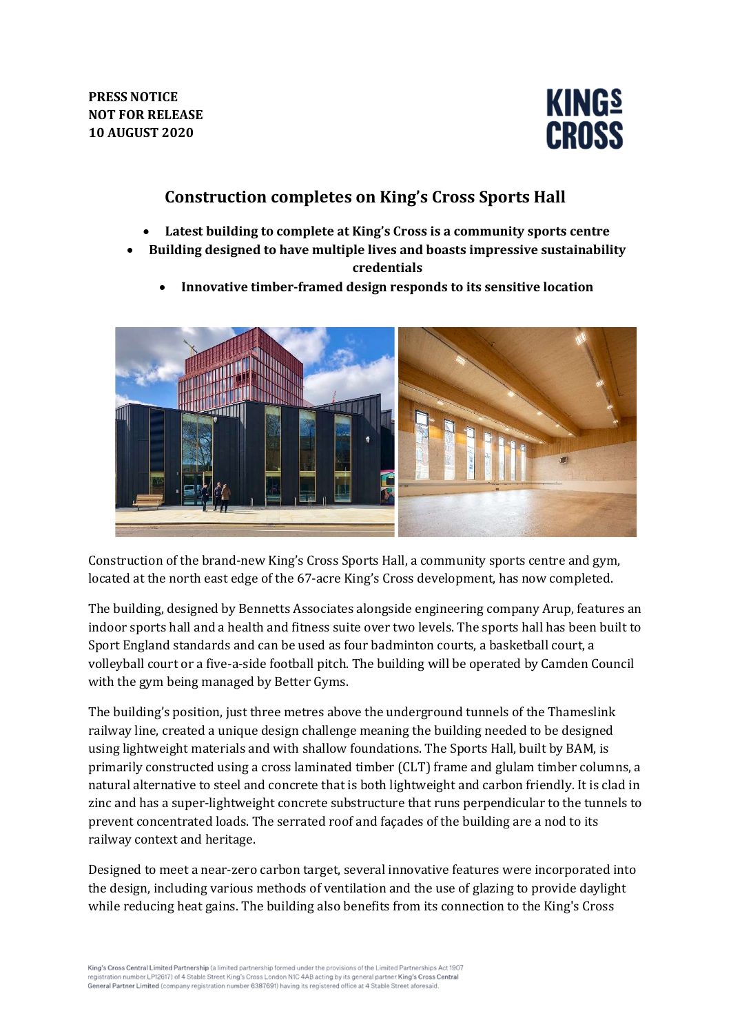

# Construction completes on King's Cross Sports Hall

- Latest building to complete at King's Cross is a community sports centre
- Building designed to have multiple lives and boasts impressive sustainability credentials
	- Innovative timber-framed design responds to its sensitive location



Construction of the brand-new King's Cross Sports Hall, a community sports centre and gym, located at the north east edge of the 67-acre King's Cross development, has now completed.

The building, designed by Bennetts Associates alongside engineering company Arup, features an indoor sports hall and a health and fitness suite over two levels. The sports hall has been built to Sport England standards and can be used as four badminton courts, a basketball court, a volleyball court or a five-a-side football pitch. The building will be operated by Camden Council with the gym being managed by Better Gyms.

The building's position, just three metres above the underground tunnels of the Thameslink railway line, created a unique design challenge meaning the building needed to be designed using lightweight materials and with shallow foundations. The Sports Hall, built by BAM, is primarily constructed using a cross laminated timber (CLT) frame and glulam timber columns, a natural alternative to steel and concrete that is both lightweight and carbon friendly. It is clad in zinc and has a super-lightweight concrete substructure that runs perpendicular to the tunnels to prevent concentrated loads. The serrated roof and façades of the building are a nod to its railway context and heritage.

Designed to meet a near-zero carbon target, several innovative features were incorporated into the design, including various methods of ventilation and the use of glazing to provide daylight while reducing heat gains. The building also benefits from its connection to the King's Cross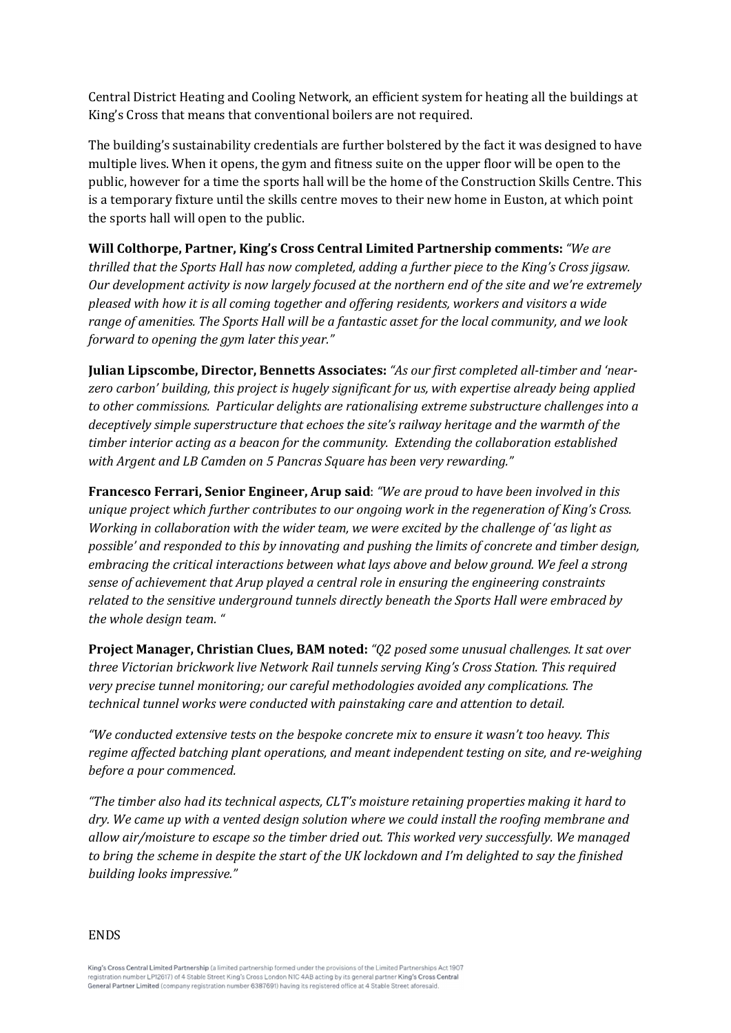Central District Heating and Cooling Network, an efficient system for heating all the buildings at King's Cross that means that conventional boilers are not required.

The building's sustainability credentials are further bolstered by the fact it was designed to have multiple lives. When it opens, the gym and fitness suite on the upper floor will be open to the public, however for a time the sports hall will be the home of the Construction Skills Centre. This is a temporary fixture until the skills centre moves to their new home in Euston, at which point the sports hall will open to the public.

# Will Colthorpe, Partner, King's Cross Central Limited Partnership comments: "We are

thrilled that the Sports Hall has now completed, adding a further piece to the King's Cross jigsaw. Our development activity is now largely focused at the northern end of the site and we're extremely pleased with how it is all coming together and offering residents, workers and visitors a wide range of amenities. The Sports Hall will be a fantastic asset for the local community, and we look forward to opening the gym later this year."

Julian Lipscombe, Director, Bennetts Associates: "As our first completed all-timber and 'nearzero carbon' building, this project is hugely significant for us, with expertise already being applied to other commissions. Particular delights are rationalising extreme substructure challenges into a deceptively simple superstructure that echoes the site's railway heritage and the warmth of the timber interior acting as a beacon for the community. Extending the collaboration established with Argent and LB Camden on 5 Pancras Square has been very rewarding."

Francesco Ferrari, Senior Engineer, Arup said: "We are proud to have been involved in this unique project which further contributes to our ongoing work in the regeneration of King's Cross. Working in collaboration with the wider team, we were excited by the challenge of 'as light as possible' and responded to this by innovating and pushing the limits of concrete and timber design, embracing the critical interactions between what lays above and below ground. We feel a strong sense of achievement that Arup played a central role in ensuring the engineering constraints related to the sensitive underground tunnels directly beneath the Sports Hall were embraced by the whole design team. "

Project Manager, Christian Clues, BAM noted: "Q2 posed some unusual challenges. It sat over three Victorian brickwork live Network Rail tunnels serving King's Cross Station. This required very precise tunnel monitoring; our careful methodologies avoided any complications. The technical tunnel works were conducted with painstaking care and attention to detail.

"We conducted extensive tests on the bespoke concrete mix to ensure it wasn't too heavy. This regime affected batching plant operations, and meant independent testing on site, and re-weighing before a pour commenced.

"The timber also had its technical aspects, CLT's moisture retaining properties making it hard to dry. We came up with a vented design solution where we could install the roofing membrane and allow air/moisture to escape so the timber dried out. This worked very successfully. We managed to bring the scheme in despite the start of the UK lockdown and I'm delighted to say the finished building looks impressive."

ENDS

King's Cross Central Limited Partnership (a limited partnership formed under the provisions of the Limited Partnerships Act 1907 registration number LP12617) of 4 Stable Street King's Cross London NIC 4AB acting by its general partner King's Cross Central<br>General Partner Limited (company registration number 6387691) having its registered office at 4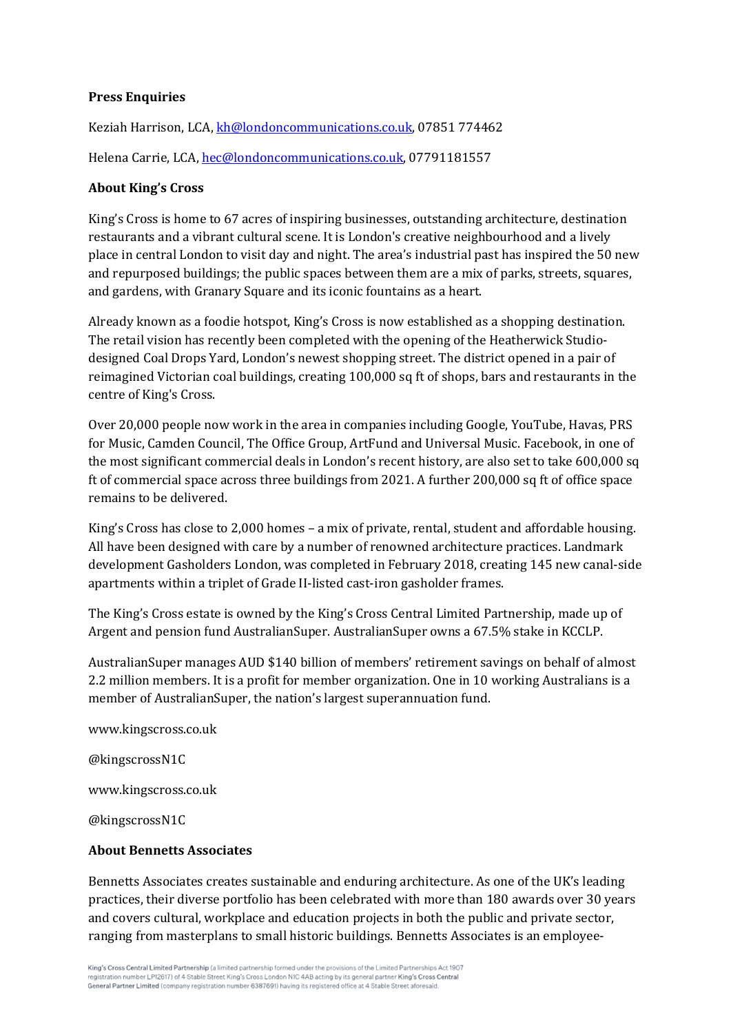#### Press Enquiries

Keziah Harrison, LCA, kh@londoncommunications.co.uk, 07851 774462 Helena Carrie, LCA, hec@londoncommunications.co.uk, 07791181557

#### About King's Cross

King's Cross is home to 67 acres of inspiring businesses, outstanding architecture, destination restaurants and a vibrant cultural scene. It is London's creative neighbourhood and a lively place in central London to visit day and night. The area's industrial past has inspired the 50 new and repurposed buildings; the public spaces between them are a mix of parks, streets, squares, and gardens, with Granary Square and its iconic fountains as a heart.

Already known as a foodie hotspot, King's Cross is now established as a shopping destination. The retail vision has recently been completed with the opening of the Heatherwick Studiodesigned Coal Drops Yard, London's newest shopping street. The district opened in a pair of reimagined Victorian coal buildings, creating 100,000 sq ft of shops, bars and restaurants in the centre of King's Cross.

Over 20,000 people now work in the area in companies including Google, YouTube, Havas, PRS for Music, Camden Council, The Office Group, ArtFund and Universal Music. Facebook, in one of the most significant commercial deals in London's recent history, are also set to take 600,000 sq ft of commercial space across three buildings from 2021. A further 200,000 sq ft of office space remains to be delivered.

King's Cross has close to 2,000 homes – a mix of private, rental, student and affordable housing. All have been designed with care by a number of renowned architecture practices. Landmark development Gasholders London, was completed in February 2018, creating 145 new canal-side apartments within a triplet of Grade II-listed cast-iron gasholder frames.

The King's Cross estate is owned by the King's Cross Central Limited Partnership, made up of Argent and pension fund AustralianSuper. AustralianSuper owns a 67.5% stake in KCCLP.

AustralianSuper manages AUD \$140 billion of members' retirement savings on behalf of almost 2.2 million members. It is a profit for member organization. One in 10 working Australians is a member of AustralianSuper, the nation's largest superannuation fund.

www.kingscross.co.uk

@kingscrossN1C

www.kingscross.co.uk

@kingscrossN1C

#### About Bennetts Associates

Bennetts Associates creates sustainable and enduring architecture. As one of the UK's leading practices, their diverse portfolio has been celebrated with more than 180 awards over 30 years and covers cultural, workplace and education projects in both the public and private sector, ranging from masterplans to small historic buildings. Bennetts Associates is an employee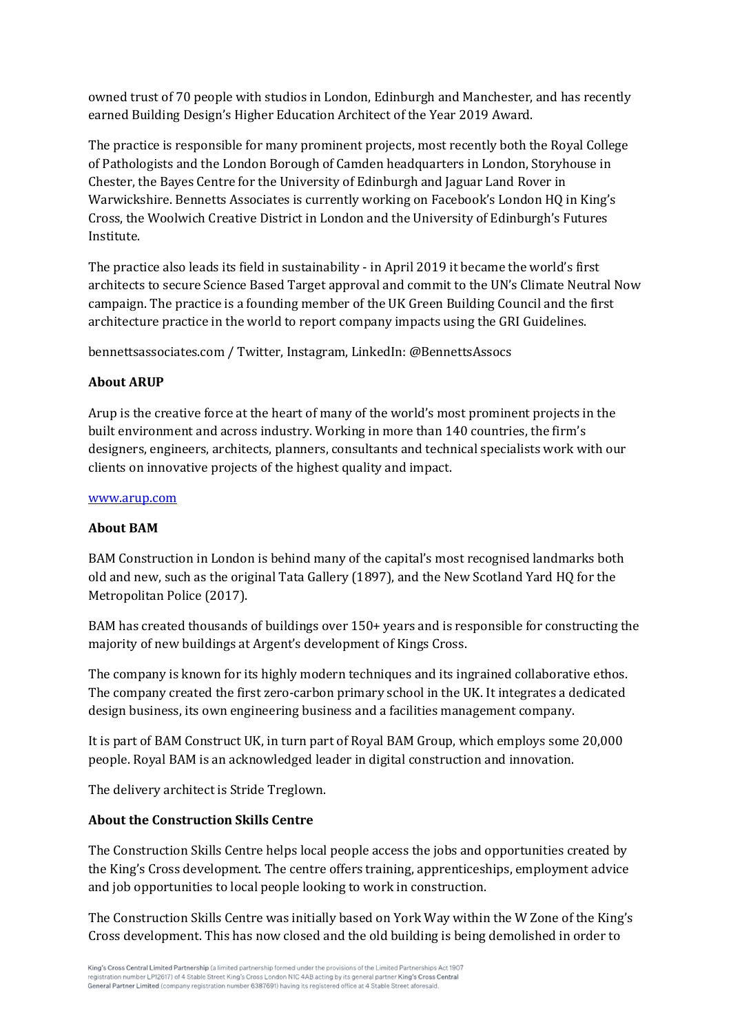owned trust of 70 people with studios in London, Edinburgh and Manchester, and has recently earned Building Design's Higher Education Architect of the Year 2019 Award.

The practice is responsible for many prominent projects, most recently both the Royal College of Pathologists and the London Borough of Camden headquarters in London, Storyhouse in Chester, the Bayes Centre for the University of Edinburgh and Jaguar Land Rover in Warwickshire. Bennetts Associates is currently working on Facebook's London HQ in King's Cross, the Woolwich Creative District in London and the University of Edinburgh's Futures Institute.

The practice also leads its field in sustainability - in April 2019 it became the world's first architects to secure Science Based Target approval and commit to the UN's Climate Neutral Now campaign. The practice is a founding member of the UK Green Building Council and the first architecture practice in the world to report company impacts using the GRI Guidelines.

bennettsassociates.com / Twitter, Instagram, LinkedIn: @BennettsAssocs

### About ARUP

Arup is the creative force at the heart of many of the world's most prominent projects in the built environment and across industry. Working in more than 140 countries, the firm's designers, engineers, architects, planners, consultants and technical specialists work with our clients on innovative projects of the highest quality and impact.

#### www.arup.com

#### About BAM

BAM Construction in London is behind many of the capital's most recognised landmarks both old and new, such as the original Tata Gallery (1897), and the New Scotland Yard HQ for the Metropolitan Police (2017).

BAM has created thousands of buildings over 150+ years and is responsible for constructing the majority of new buildings at Argent's development of Kings Cross.

The company is known for its highly modern techniques and its ingrained collaborative ethos. The company created the first zero-carbon primary school in the UK. It integrates a dedicated design business, its own engineering business and a facilities management company.

It is part of BAM Construct UK, in turn part of Royal BAM Group, which employs some 20,000 people. Royal BAM is an acknowledged leader in digital construction and innovation.

The delivery architect is Stride Treglown.

## About the Construction Skills Centre

The Construction Skills Centre helps local people access the jobs and opportunities created by the King's Cross development. The centre offers training, apprenticeships, employment advice and job opportunities to local people looking to work in construction.

The Construction Skills Centre was initially based on York Way within the W Zone of the King's Cross development. This has now closed and the old building is being demolished in order to